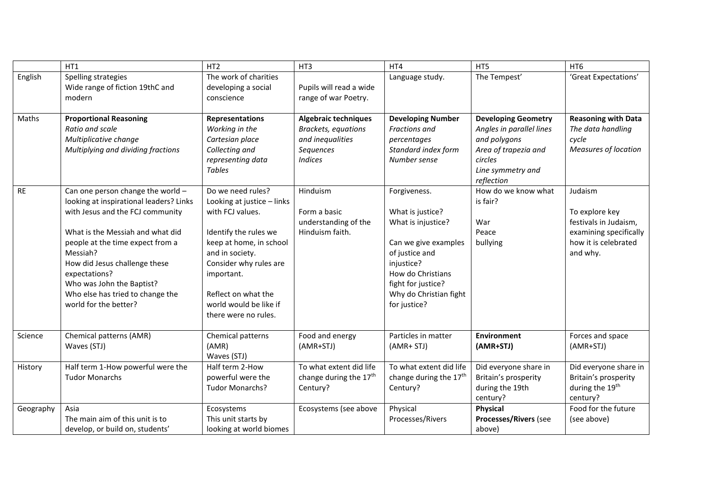|           | HT1                                                                                                                                                                                                                                                                                                                                                | HT <sub>2</sub>                                                                                                                                                                                                                                             | HT3                                                                                                          | HT4                                                                                                                                                                                                 | HT5                                                                                                                                          | HT <sub>6</sub>                                                                                                  |
|-----------|----------------------------------------------------------------------------------------------------------------------------------------------------------------------------------------------------------------------------------------------------------------------------------------------------------------------------------------------------|-------------------------------------------------------------------------------------------------------------------------------------------------------------------------------------------------------------------------------------------------------------|--------------------------------------------------------------------------------------------------------------|-----------------------------------------------------------------------------------------------------------------------------------------------------------------------------------------------------|----------------------------------------------------------------------------------------------------------------------------------------------|------------------------------------------------------------------------------------------------------------------|
| English   | Spelling strategies<br>Wide range of fiction 19thC and<br>modern                                                                                                                                                                                                                                                                                   | The work of charities<br>developing a social<br>conscience                                                                                                                                                                                                  | Pupils will read a wide<br>range of war Poetry.                                                              | Language study.                                                                                                                                                                                     | The Tempest'                                                                                                                                 | 'Great Expectations'                                                                                             |
| Maths     | <b>Proportional Reasoning</b><br>Ratio and scale<br>Multiplicative change<br>Multiplying and dividing fractions                                                                                                                                                                                                                                    | <b>Representations</b><br>Working in the<br>Cartesian place<br>Collecting and<br>representing data<br><b>Tables</b>                                                                                                                                         | <b>Algebraic techniques</b><br><b>Brackets, equations</b><br>and inequalities<br>Sequences<br><b>Indices</b> | <b>Developing Number</b><br>Fractions and<br>percentages<br>Standard index form<br>Number sense                                                                                                     | <b>Developing Geometry</b><br>Angles in parallel lines<br>and polygons<br>Area of trapezia and<br>circles<br>Line symmetry and<br>reflection | <b>Reasoning with Data</b><br>The data handling<br>cycle<br><b>Measures of location</b>                          |
| <b>RE</b> | Can one person change the world $-$<br>looking at inspirational leaders? Links<br>with Jesus and the FCJ community<br>What is the Messiah and what did<br>people at the time expect from a<br>Messiah?<br>How did Jesus challenge these<br>expectations?<br>Who was John the Baptist?<br>Who else has tried to change the<br>world for the better? | Do we need rules?<br>Looking at justice - links<br>with FCJ values.<br>Identify the rules we<br>keep at home, in school<br>and in society.<br>Consider why rules are<br>important.<br>Reflect on what the<br>world would be like if<br>there were no rules. | Hinduism<br>Form a basic<br>understanding of the<br>Hinduism faith.                                          | Forgiveness.<br>What is justice?<br>What is injustice?<br>Can we give examples<br>of justice and<br>injustice?<br>How do Christians<br>fight for justice?<br>Why do Christian fight<br>for justice? | How do we know what<br>is fair?<br>War<br>Peace<br>bullying                                                                                  | Judaism<br>To explore key<br>festivals in Judaism,<br>examining specifically<br>how it is celebrated<br>and why. |
| Science   | Chemical patterns (AMR)<br>Waves (STJ)                                                                                                                                                                                                                                                                                                             | Chemical patterns<br>(AMR)<br>Waves (STJ)                                                                                                                                                                                                                   | Food and energy<br>(AMR+STJ)                                                                                 | Particles in matter<br>(AMR+ STJ)                                                                                                                                                                   | <b>Environment</b><br>(AMR+STJ)                                                                                                              | Forces and space<br>(AMR+STJ)                                                                                    |
| History   | Half term 1-How powerful were the<br><b>Tudor Monarchs</b>                                                                                                                                                                                                                                                                                         | Half term 2-How<br>powerful were the<br><b>Tudor Monarchs?</b>                                                                                                                                                                                              | To what extent did life<br>change during the 17 <sup>th</sup><br>Century?                                    | To what extent did life<br>change during the 17 <sup>th</sup><br>Century?                                                                                                                           | Did everyone share in<br>Britain's prosperity<br>during the 19th<br>century?                                                                 | Did everyone share in<br>Britain's prosperity<br>during the 19th<br>century?                                     |
| Geography | Asia<br>The main aim of this unit is to<br>develop, or build on, students'                                                                                                                                                                                                                                                                         | Ecosystems<br>This unit starts by<br>looking at world biomes                                                                                                                                                                                                | Ecosystems (see above                                                                                        | Physical<br>Processes/Rivers                                                                                                                                                                        | Physical<br>Processes/Rivers (see<br>above)                                                                                                  | Food for the future<br>(see above)                                                                               |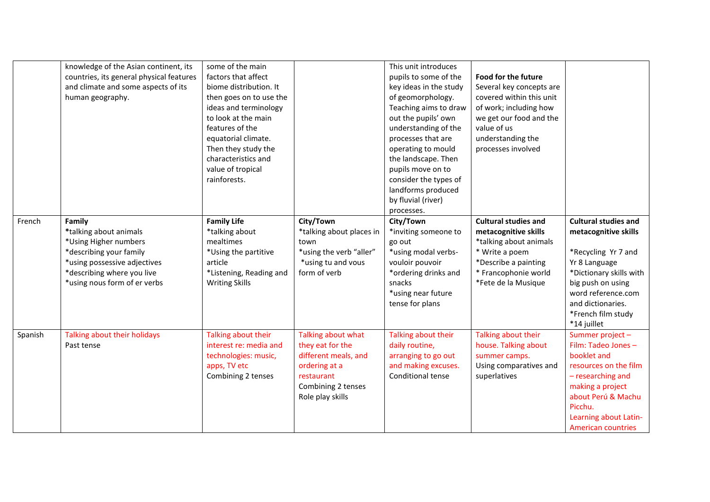|         | knowledge of the Asian continent, its<br>countries, its general physical features<br>and climate and some aspects of its<br>human geography.                                       | some of the main<br>factors that affect<br>biome distribution. It<br>then goes on to use the<br>ideas and terminology<br>to look at the main<br>features of the<br>equatorial climate.<br>Then they study the<br>characteristics and<br>value of tropical<br>rainforests. |                                                                                                                                         | This unit introduces<br>pupils to some of the<br>key ideas in the study<br>of geomorphology.<br>Teaching aims to draw<br>out the pupils' own<br>understanding of the<br>processes that are<br>operating to mould<br>the landscape. Then<br>pupils move on to<br>consider the types of<br>landforms produced<br>by fluvial (river)<br>processes. | <b>Food for the future</b><br>Several key concepts are<br>covered within this unit<br>of work; including how<br>we get our food and the<br>value of us<br>understanding the<br>processes involved |                                                                                                                                                                                                                             |
|---------|------------------------------------------------------------------------------------------------------------------------------------------------------------------------------------|---------------------------------------------------------------------------------------------------------------------------------------------------------------------------------------------------------------------------------------------------------------------------|-----------------------------------------------------------------------------------------------------------------------------------------|-------------------------------------------------------------------------------------------------------------------------------------------------------------------------------------------------------------------------------------------------------------------------------------------------------------------------------------------------|---------------------------------------------------------------------------------------------------------------------------------------------------------------------------------------------------|-----------------------------------------------------------------------------------------------------------------------------------------------------------------------------------------------------------------------------|
| French  | Family<br>*talking about animals<br>*Using Higher numbers<br>*describing your family<br>*using possessive adjectives<br>*describing where you live<br>*using nous form of er verbs | <b>Family Life</b><br>*talking about<br>mealtimes<br>*Using the partitive<br>article<br>*Listening, Reading and<br><b>Writing Skills</b>                                                                                                                                  | City/Town<br>*talking about places in<br>town<br>*using the verb "aller"<br>*using tu and vous<br>form of verb                          | City/Town<br>*inviting someone to<br>go out<br>*using modal verbs-<br>vouloir pouvoir<br>*ordering drinks and<br>snacks<br>*using near future<br>tense for plans                                                                                                                                                                                | <b>Cultural studies and</b><br>metacognitive skills<br>*talking about animals<br>* Write a poem<br>*Describe a painting<br>* Francophonie world<br>*Fete de la Musique                            | <b>Cultural studies and</b><br>metacognitive skills<br>*Recycling Yr 7 and<br>Yr 8 Language<br>*Dictionary skills with<br>big push on using<br>word reference.com<br>and dictionaries.<br>*French film study<br>*14 juillet |
| Spanish | Talking about their holidays<br>Past tense                                                                                                                                         | Talking about their<br>interest re: media and<br>technologies: music,<br>apps, TV etc<br>Combining 2 tenses                                                                                                                                                               | Talking about what<br>they eat for the<br>different meals, and<br>ordering at a<br>restaurant<br>Combining 2 tenses<br>Role play skills | Talking about their<br>daily routine,<br>arranging to go out<br>and making excuses.<br>Conditional tense                                                                                                                                                                                                                                        | Talking about their<br>house. Talking about<br>summer camps.<br>Using comparatives and<br>superlatives                                                                                            | Summer project -<br>Film: Tadeo Jones -<br>booklet and<br>resources on the film<br>- researching and<br>making a project<br>about Perú & Machu<br>Picchu.<br>Learning about Latin-<br><b>American countries</b>             |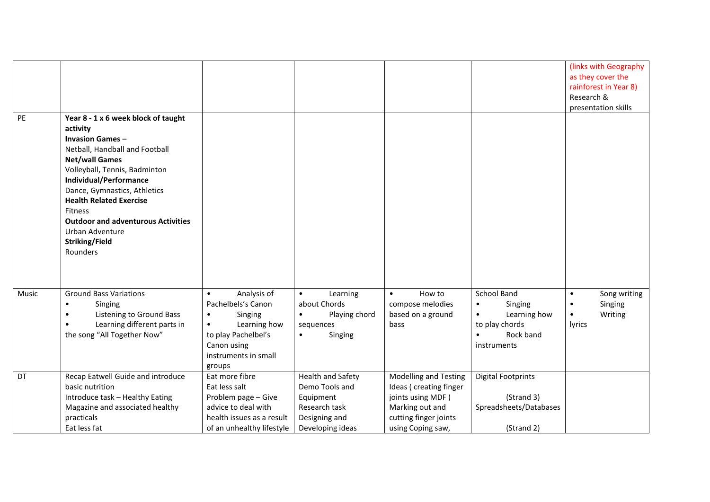| PE    | Year 8 - 1 x 6 week block of taught                                                                                                                                                                                                                                                                                                        |                                                                                                                                                                             |                                                                                                        |                                                                                                                                              |                                                                                                                             | (links with Geography)<br>as they cover the<br>rainforest in Year 8)<br>Research &<br>presentation skills |
|-------|--------------------------------------------------------------------------------------------------------------------------------------------------------------------------------------------------------------------------------------------------------------------------------------------------------------------------------------------|-----------------------------------------------------------------------------------------------------------------------------------------------------------------------------|--------------------------------------------------------------------------------------------------------|----------------------------------------------------------------------------------------------------------------------------------------------|-----------------------------------------------------------------------------------------------------------------------------|-----------------------------------------------------------------------------------------------------------|
|       | activity<br><b>Invasion Games-</b><br>Netball, Handball and Football<br><b>Net/wall Games</b><br>Volleyball, Tennis, Badminton<br>Individual/Performance<br>Dance, Gymnastics, Athletics<br><b>Health Related Exercise</b><br>Fitness<br><b>Outdoor and adventurous Activities</b><br>Urban Adventure<br><b>Striking/Field</b><br>Rounders |                                                                                                                                                                             |                                                                                                        |                                                                                                                                              |                                                                                                                             |                                                                                                           |
| Music | <b>Ground Bass Variations</b><br>Singing<br>$\bullet$<br>Listening to Ground Bass<br>$\bullet$<br>Learning different parts in<br>the song "All Together Now"                                                                                                                                                                               | Analysis of<br>$\bullet$<br>Pachelbels's Canon<br>Singing<br>$\bullet$<br>Learning how<br>$\bullet$<br>to play Pachelbel's<br>Canon using<br>instruments in small<br>groups | Learning<br>$\bullet$<br>about Chords<br>Playing chord<br>$\bullet$<br>sequences<br>Singing            | How to<br>$\bullet$<br>compose melodies<br>based on a ground<br>bass                                                                         | School Band<br>$\bullet$<br>Singing<br>Learning how<br>$\bullet$<br>to play chords<br>Rock band<br>$\bullet$<br>instruments | Song writing<br>$\bullet$<br>Singing<br>$\bullet$<br>Writing<br>$\bullet$<br><b>lyrics</b>                |
| DT    | Recap Eatwell Guide and introduce<br>basic nutrition<br>Introduce task - Healthy Eating<br>Magazine and associated healthy<br>practicals<br>Eat less fat                                                                                                                                                                                   | Eat more fibre<br>Eat less salt<br>Problem page - Give<br>advice to deal with<br>health issues as a result<br>of an unhealthy lifestyle                                     | Health and Safety<br>Demo Tools and<br>Equipment<br>Research task<br>Designing and<br>Developing ideas | <b>Modelling and Testing</b><br>Ideas (creating finger<br>joints using MDF)<br>Marking out and<br>cutting finger joints<br>using Coping saw, | <b>Digital Footprints</b><br>(Strand 3)<br>Spreadsheets/Databases<br>(Strand 2)                                             |                                                                                                           |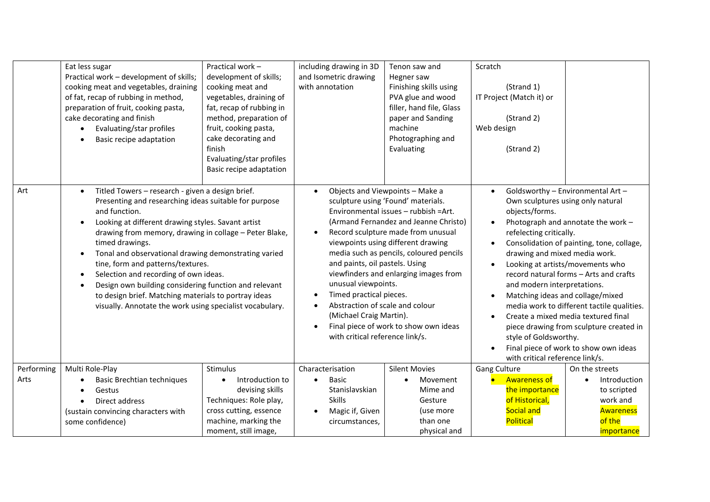|                    | Eat less sugar<br>Practical work - development of skills;<br>cooking meat and vegetables, draining<br>of fat, recap of rubbing in method,<br>preparation of fruit, cooking pasta,<br>cake decorating and finish<br>Evaluating/star profiles<br>$\bullet$<br>Basic recipe adaptation                                                                                                                                                                                                                                                                                                                                     | Practical work -<br>development of skills;<br>cooking meat and<br>vegetables, draining of<br>fat, recap of rubbing in<br>method, preparation of<br>fruit, cooking pasta,<br>cake decorating and<br>finish<br>Evaluating/star profiles<br>Basic recipe adaptation | including drawing in 3D<br>and Isometric drawing<br>with annotation                                                                                                                                                      | Tenon saw and<br>Hegner saw<br>Finishing skills using<br>PVA glue and wood<br>filler, hand file, Glass<br>paper and Sanding<br>machine<br>Photographing and<br>Evaluating                                                                                                                                                                                        | Scratch<br>(Strand 1)<br>IT Project (Match it) or<br>(Strand 2)<br>Web design<br>(Strand 2)                                                                                                                                                                                                                                  |                                                                                                                                                                                                                                                                                                                                                                             |
|--------------------|-------------------------------------------------------------------------------------------------------------------------------------------------------------------------------------------------------------------------------------------------------------------------------------------------------------------------------------------------------------------------------------------------------------------------------------------------------------------------------------------------------------------------------------------------------------------------------------------------------------------------|------------------------------------------------------------------------------------------------------------------------------------------------------------------------------------------------------------------------------------------------------------------|--------------------------------------------------------------------------------------------------------------------------------------------------------------------------------------------------------------------------|------------------------------------------------------------------------------------------------------------------------------------------------------------------------------------------------------------------------------------------------------------------------------------------------------------------------------------------------------------------|------------------------------------------------------------------------------------------------------------------------------------------------------------------------------------------------------------------------------------------------------------------------------------------------------------------------------|-----------------------------------------------------------------------------------------------------------------------------------------------------------------------------------------------------------------------------------------------------------------------------------------------------------------------------------------------------------------------------|
| Art                | Titled Towers - research - given a design brief.<br>$\bullet$<br>Presenting and researching ideas suitable for purpose<br>and function.<br>Looking at different drawing styles. Savant artist<br>drawing from memory, drawing in collage - Peter Blake,<br>timed drawings.<br>Tonal and observational drawing demonstrating varied<br>$\bullet$<br>tine, form and patterns/textures.<br>Selection and recording of own ideas.<br>$\bullet$<br>Design own building considering function and relevant<br>to design brief. Matching materials to portray ideas<br>visually. Annotate the work using specialist vocabulary. |                                                                                                                                                                                                                                                                  | $\bullet$<br>$\bullet$<br>and paints, oil pastels. Using<br>unusual viewpoints.<br>Timed practical pieces.<br>$\bullet$<br>Abstraction of scale and colour<br>(Michael Craig Martin).<br>with critical reference link/s. | Objects and Viewpoints - Make a<br>sculpture using 'Found' materials.<br>Environmental issues - rubbish = Art.<br>(Armand Fernandez and Jeanne Christo)<br>Record sculpture made from unusual<br>viewpoints using different drawing<br>media such as pencils, coloured pencils<br>viewfinders and enlarging images from<br>Final piece of work to show own ideas | $\bullet$<br>Own sculptures using only natural<br>objects/forms.<br>$\bullet$<br>refelecting critically.<br>$\bullet$<br>drawing and mixed media work.<br>$\bullet$<br>and modern interpretations.<br>Matching ideas and collage/mixed<br>$\bullet$<br>style of Goldsworthy.<br>$\bullet$<br>with critical reference link/s. | Goldsworthy - Environmental Art -<br>Photograph and annotate the work -<br>Consolidation of painting, tone, collage,<br>Looking at artists/movements who<br>record natural forms - Arts and crafts<br>media work to different tactile qualities.<br>Create a mixed media textured final<br>piece drawing from sculpture created in<br>Final piece of work to show own ideas |
| Performing<br>Arts | Multi Role-Play<br>Basic Brechtian techniques<br>Gestus<br>$\bullet$<br>Direct address<br>(sustain convincing characters with<br>some confidence)                                                                                                                                                                                                                                                                                                                                                                                                                                                                       | Stimulus<br>Introduction to<br>devising skills<br>Techniques: Role play,<br>cross cutting, essence<br>machine, marking the<br>moment, still image,                                                                                                               | Characterisation<br><b>Basic</b><br>$\bullet$<br>Stanislavskian<br><b>Skills</b><br>Magic if, Given<br>circumstances,                                                                                                    | <b>Silent Movies</b><br>Movement<br>Mime and<br>Gesture<br>(use more<br>than one<br>physical and                                                                                                                                                                                                                                                                 | Gang Culture<br><b>Awareness of</b><br>the importance<br>of Historical,<br>Social and<br>Political                                                                                                                                                                                                                           | On the streets<br>Introduction<br>to scripted<br>work and<br><b>Awareness</b><br>of the<br>importance                                                                                                                                                                                                                                                                       |